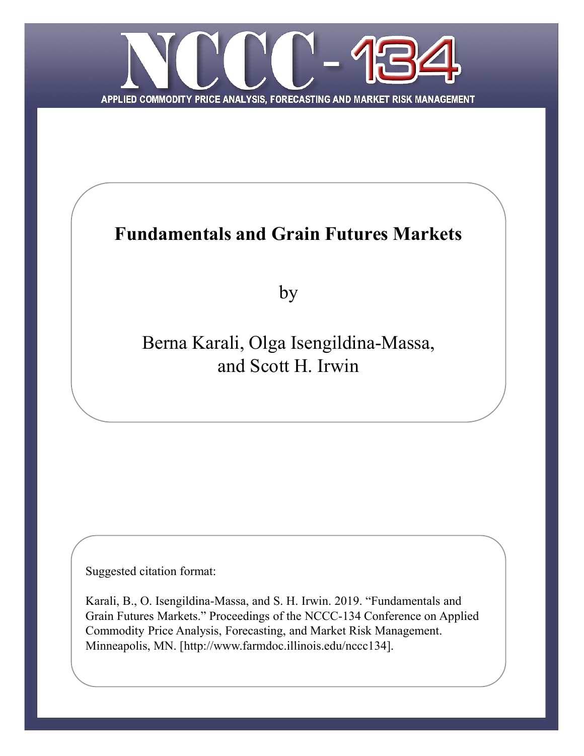

# **Fundamentals and Grain Futures Markets**

by

Berna Karali, Olga Isengildina-Massa, and Scott H. Irwin

Suggested citation format:

Karali, B., O. Isengildina-Massa, and S. H. Irwin. 2019. "Fundamentals and Grain Futures Markets." Proceedings of the NCCC-134 Conference on Applied Commodity Price Analysis, Forecasting, and Market Risk Management. Minneapolis, MN. [http://www.farmdoc.illinois.edu/nccc134].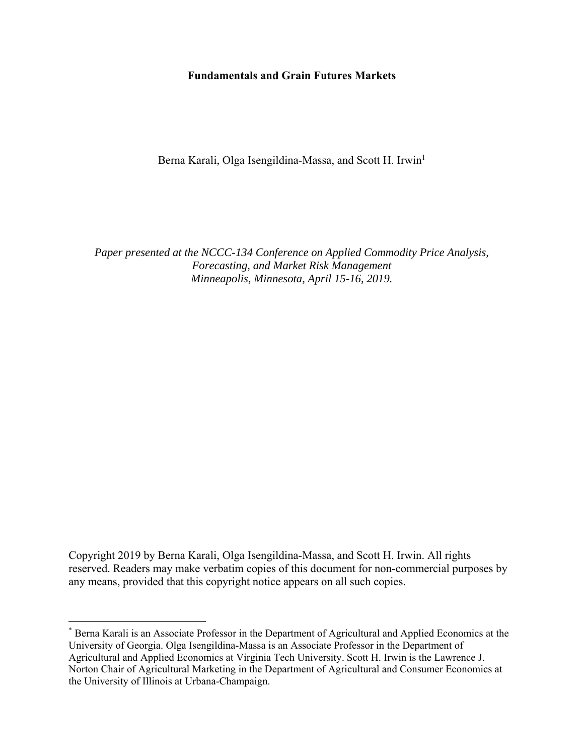## **Fundamentals and Grain Futures Markets**

Berna Karali, Olga Isengildina-Massa, and Scott H. Irwin<sup>1</sup>

*Paper presented at the NCCC-134 Conference on Applied Commodity Price Analysis, Forecasting, and Market Risk Management Minneapolis, Minnesota, April 15-16, 2019.* 

Copyright 2019 by Berna Karali, Olga Isengildina-Massa, and Scott H. Irwin. All rights reserved. Readers may make verbatim copies of this document for non-commercial purposes by any means, provided that this copyright notice appears on all such copies.

<sup>\*</sup> Berna Karali is an Associate Professor in the Department of Agricultural and Applied Economics at the University of Georgia. Olga Isengildina-Massa is an Associate Professor in the Department of Agricultural and Applied Economics at Virginia Tech University. Scott H. Irwin is the Lawrence J. Norton Chair of Agricultural Marketing in the Department of Agricultural and Consumer Economics at the University of Illinois at Urbana-Champaign.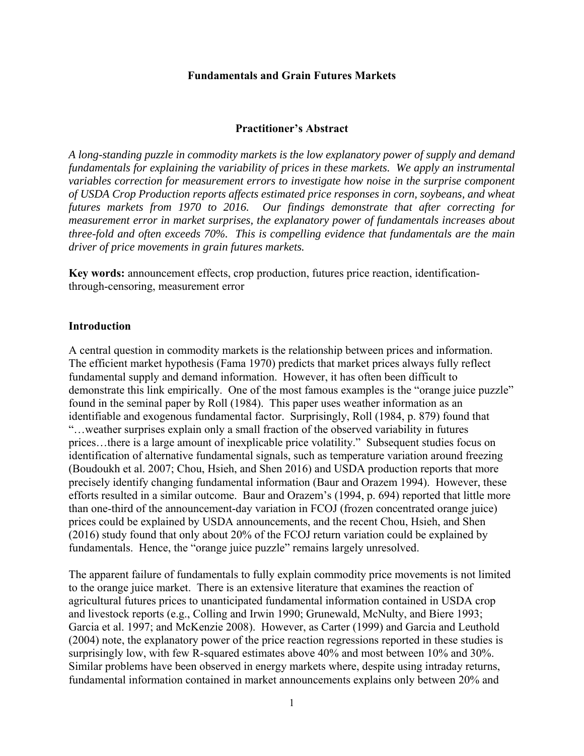## **Fundamentals and Grain Futures Markets**

#### **Practitioner's Abstract**

*A long-standing puzzle in commodity markets is the low explanatory power of supply and demand fundamentals for explaining the variability of prices in these markets. We apply an instrumental variables correction for measurement errors to investigate how noise in the surprise component of USDA Crop Production reports affects estimated price responses in corn, soybeans, and wheat futures markets from 1970 to 2016. Our findings demonstrate that after correcting for measurement error in market surprises, the explanatory power of fundamentals increases about three-fold and often exceeds 70%. This is compelling evidence that fundamentals are the main driver of price movements in grain futures markets.* 

**Key words:** announcement effects, crop production, futures price reaction, identificationthrough-censoring, measurement error

#### **Introduction**

A central question in commodity markets is the relationship between prices and information. The efficient market hypothesis (Fama 1970) predicts that market prices always fully reflect fundamental supply and demand information. However, it has often been difficult to demonstrate this link empirically. One of the most famous examples is the "orange juice puzzle" found in the seminal paper by Roll (1984). This paper uses weather information as an identifiable and exogenous fundamental factor. Surprisingly, Roll (1984, p. 879) found that "…weather surprises explain only a small fraction of the observed variability in futures prices…there is a large amount of inexplicable price volatility." Subsequent studies focus on identification of alternative fundamental signals, such as temperature variation around freezing (Boudoukh et al. 2007; Chou, Hsieh, and Shen 2016) and USDA production reports that more precisely identify changing fundamental information (Baur and Orazem 1994). However, these efforts resulted in a similar outcome. Baur and Orazem's (1994, p. 694) reported that little more than one-third of the announcement-day variation in FCOJ (frozen concentrated orange juice) prices could be explained by USDA announcements, and the recent Chou, Hsieh, and Shen (2016) study found that only about 20% of the FCOJ return variation could be explained by fundamentals. Hence, the "orange juice puzzle" remains largely unresolved.

The apparent failure of fundamentals to fully explain commodity price movements is not limited to the orange juice market. There is an extensive literature that examines the reaction of agricultural futures prices to unanticipated fundamental information contained in USDA crop and livestock reports (e.g., Colling and Irwin 1990; Grunewald, McNulty, and Biere 1993; Garcia et al. 1997; and McKenzie 2008). However, as Carter (1999) and Garcia and Leuthold (2004) note, the explanatory power of the price reaction regressions reported in these studies is surprisingly low, with few R-squared estimates above 40% and most between 10% and 30%. Similar problems have been observed in energy markets where, despite using intraday returns, fundamental information contained in market announcements explains only between 20% and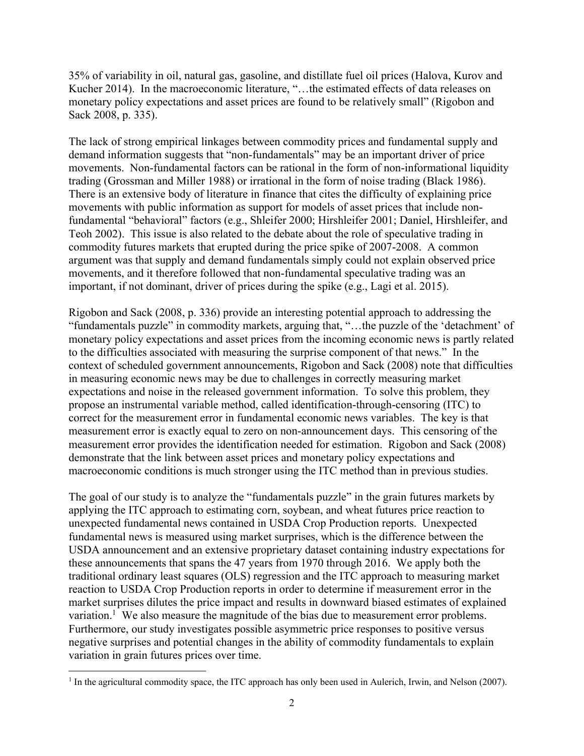35% of variability in oil, natural gas, gasoline, and distillate fuel oil prices (Halova, Kurov and Kucher 2014). In the macroeconomic literature, "…the estimated effects of data releases on monetary policy expectations and asset prices are found to be relatively small" (Rigobon and Sack 2008, p. 335).

The lack of strong empirical linkages between commodity prices and fundamental supply and demand information suggests that "non-fundamentals" may be an important driver of price movements. Non-fundamental factors can be rational in the form of non-informational liquidity trading (Grossman and Miller 1988) or irrational in the form of noise trading (Black 1986). There is an extensive body of literature in finance that cites the difficulty of explaining price movements with public information as support for models of asset prices that include nonfundamental "behavioral" factors (e.g., Shleifer 2000; Hirshleifer 2001; Daniel, Hirshleifer, and Teoh 2002). This issue is also related to the debate about the role of speculative trading in commodity futures markets that erupted during the price spike of 2007-2008. A common argument was that supply and demand fundamentals simply could not explain observed price movements, and it therefore followed that non-fundamental speculative trading was an important, if not dominant, driver of prices during the spike (e.g., Lagi et al. 2015).

Rigobon and Sack (2008, p. 336) provide an interesting potential approach to addressing the "fundamentals puzzle" in commodity markets, arguing that, "…the puzzle of the 'detachment' of monetary policy expectations and asset prices from the incoming economic news is partly related to the difficulties associated with measuring the surprise component of that news." In the context of scheduled government announcements, Rigobon and Sack (2008) note that difficulties in measuring economic news may be due to challenges in correctly measuring market expectations and noise in the released government information. To solve this problem, they propose an instrumental variable method, called identification-through-censoring (ITC) to correct for the measurement error in fundamental economic news variables. The key is that measurement error is exactly equal to zero on non-announcement days. This censoring of the measurement error provides the identification needed for estimation. Rigobon and Sack (2008) demonstrate that the link between asset prices and monetary policy expectations and macroeconomic conditions is much stronger using the ITC method than in previous studies.

The goal of our study is to analyze the "fundamentals puzzle" in the grain futures markets by applying the ITC approach to estimating corn, soybean, and wheat futures price reaction to unexpected fundamental news contained in USDA Crop Production reports. Unexpected fundamental news is measured using market surprises, which is the difference between the USDA announcement and an extensive proprietary dataset containing industry expectations for these announcements that spans the 47 years from 1970 through 2016. We apply both the traditional ordinary least squares (OLS) regression and the ITC approach to measuring market reaction to USDA Crop Production reports in order to determine if measurement error in the market surprises dilutes the price impact and results in downward biased estimates of explained variation.<sup>1</sup> We also measure the magnitude of the bias due to measurement error problems. Furthermore, our study investigates possible asymmetric price responses to positive versus negative surprises and potential changes in the ability of commodity fundamentals to explain variation in grain futures prices over time.

<sup>&</sup>lt;sup>1</sup> In the agricultural commodity space, the ITC approach has only been used in Aulerich, Irwin, and Nelson (2007).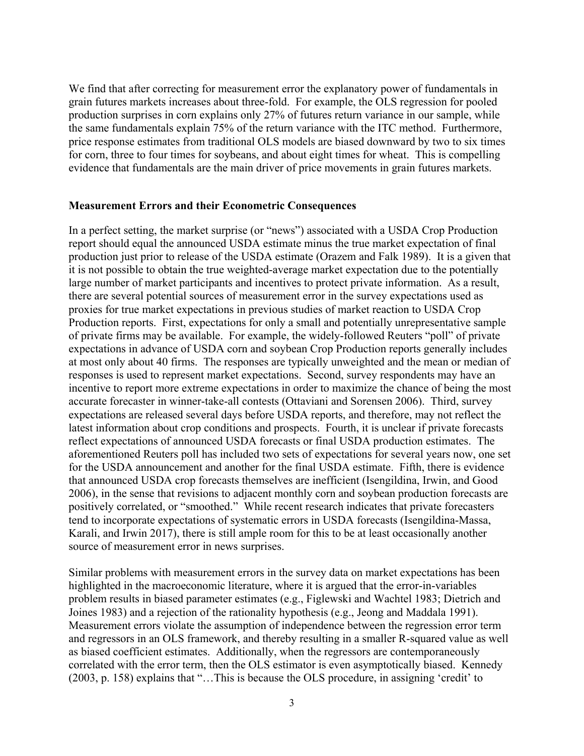We find that after correcting for measurement error the explanatory power of fundamentals in grain futures markets increases about three-fold. For example, the OLS regression for pooled production surprises in corn explains only 27% of futures return variance in our sample, while the same fundamentals explain 75% of the return variance with the ITC method. Furthermore, price response estimates from traditional OLS models are biased downward by two to six times for corn, three to four times for soybeans, and about eight times for wheat. This is compelling evidence that fundamentals are the main driver of price movements in grain futures markets.

### **Measurement Errors and their Econometric Consequences**

In a perfect setting, the market surprise (or "news") associated with a USDA Crop Production report should equal the announced USDA estimate minus the true market expectation of final production just prior to release of the USDA estimate (Orazem and Falk 1989). It is a given that it is not possible to obtain the true weighted-average market expectation due to the potentially large number of market participants and incentives to protect private information. As a result, there are several potential sources of measurement error in the survey expectations used as proxies for true market expectations in previous studies of market reaction to USDA Crop Production reports. First, expectations for only a small and potentially unrepresentative sample of private firms may be available. For example, the widely-followed Reuters "poll" of private expectations in advance of USDA corn and soybean Crop Production reports generally includes at most only about 40 firms. The responses are typically unweighted and the mean or median of responses is used to represent market expectations. Second, survey respondents may have an incentive to report more extreme expectations in order to maximize the chance of being the most accurate forecaster in winner-take-all contests (Ottaviani and Sorensen 2006). Third, survey expectations are released several days before USDA reports, and therefore, may not reflect the latest information about crop conditions and prospects. Fourth, it is unclear if private forecasts reflect expectations of announced USDA forecasts or final USDA production estimates. The aforementioned Reuters poll has included two sets of expectations for several years now, one set for the USDA announcement and another for the final USDA estimate. Fifth, there is evidence that announced USDA crop forecasts themselves are inefficient (Isengildina, Irwin, and Good 2006), in the sense that revisions to adjacent monthly corn and soybean production forecasts are positively correlated, or "smoothed." While recent research indicates that private forecasters tend to incorporate expectations of systematic errors in USDA forecasts (Isengildina-Massa, Karali, and Irwin 2017), there is still ample room for this to be at least occasionally another source of measurement error in news surprises.

Similar problems with measurement errors in the survey data on market expectations has been highlighted in the macroeconomic literature, where it is argued that the error-in-variables problem results in biased parameter estimates (e.g., Figlewski and Wachtel 1983; Dietrich and Joines 1983) and a rejection of the rationality hypothesis (e.g., Jeong and Maddala 1991). Measurement errors violate the assumption of independence between the regression error term and regressors in an OLS framework, and thereby resulting in a smaller R-squared value as well as biased coefficient estimates. Additionally, when the regressors are contemporaneously correlated with the error term, then the OLS estimator is even asymptotically biased. Kennedy (2003, p. 158) explains that "…This is because the OLS procedure, in assigning 'credit' to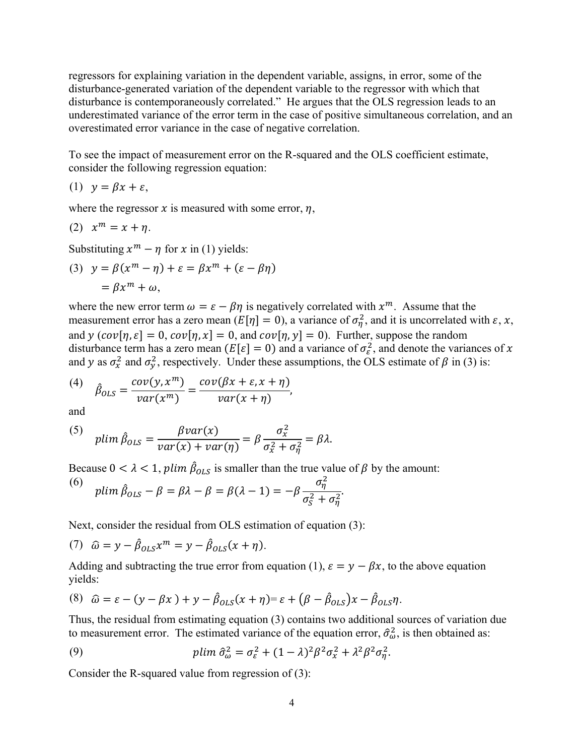regressors for explaining variation in the dependent variable, assigns, in error, some of the disturbance-generated variation of the dependent variable to the regressor with which that disturbance is contemporaneously correlated." He argues that the OLS regression leads to an underestimated variance of the error term in the case of positive simultaneous correlation, and an overestimated error variance in the case of negative correlation.

To see the impact of measurement error on the R-squared and the OLS coefficient estimate, consider the following regression equation:

$$
(1) \ \ y = \beta x + \varepsilon,
$$

where the regressor  $x$  is measured with some error,  $\eta$ ,

$$
(2) xm = x + \eta.
$$

Substituting  $x^m - \eta$  for x in (1) yields:

(3) 
$$
y = \beta(x^m - \eta) + \varepsilon = \beta x^m + (\varepsilon - \beta \eta)
$$
  
=  $\beta x^m + \omega$ ,

where the new error term  $\omega = \varepsilon - \beta \eta$  is negatively correlated with  $x^m$ . Assume that the measurement error has a zero mean  $(E[\eta] = 0)$ , a variance of  $\sigma_{\eta}^2$ , and it is uncorrelated with  $\varepsilon$ ,  $x$ , and  $y(cov[\eta, \varepsilon] = 0, cov[\eta, x] = 0, and cov[\eta, y] = 0)$ . Further, suppose the random disturbance term has a zero mean  $(E[\varepsilon] = 0)$  and a variance of  $\sigma_{\varepsilon}^2$ , and denote the variances of x and y as  $\sigma_x^2$  and  $\sigma_y^2$ , respectively. Under these assumptions, the OLS estimate of  $\beta$  in (3) is:

$$
(4) \quad \hat{\beta}_{OLS} = \frac{cov(y, x^m)}{var(x^m)} = \frac{cov(\beta x + \varepsilon, x + \eta)}{var(x + \eta)},
$$

and

(5) 
$$
plim \hat{\beta}_{OLS} = \frac{\beta var(x)}{var(x) + var(\eta)} = \beta \frac{\sigma_x^2}{\sigma_x^2 + \sigma_\eta^2} = \beta \lambda.
$$

Because  $0 < \lambda < 1$ , plim  $\hat{\beta}_{OLS}$  is smaller than the true value of  $\beta$  by the amount:

(6) 
$$
\text{plim } \hat{\beta}_{OLS} - \beta = \beta \lambda - \beta = \beta(\lambda - 1) = -\beta \frac{\sigma_{\eta}^2}{\sigma_{S}^2 + \sigma_{\eta}^2}.
$$

Next, consider the residual from OLS estimation of equation (3):

(7) 
$$
\hat{\omega} = y - \hat{\beta}_{OLS} x^m = y - \hat{\beta}_{OLS} (x + \eta).
$$

Adding and subtracting the true error from equation (1),  $\varepsilon = y - \beta x$ , to the above equation yields:

(8) 
$$
\hat{\omega} = \varepsilon - (y - \beta x) + y - \hat{\beta}_{OLS}(x + \eta) = \varepsilon + (\beta - \hat{\beta}_{OLS})x - \hat{\beta}_{OLS}\eta.
$$

Thus, the residual from estimating equation (3) contains two additional sources of variation due to measurement error. The estimated variance of the equation error,  $\hat{\sigma}^2_{\omega}$ , is then obtained as:

(9) 
$$
plim \hat{\sigma}_{\omega}^2 = \sigma_{\varepsilon}^2 + (1 - \lambda)^2 \beta^2 \sigma_{\chi}^2 + \lambda^2 \beta^2 \sigma_{\eta}^2.
$$

Consider the R-squared value from regression of (3):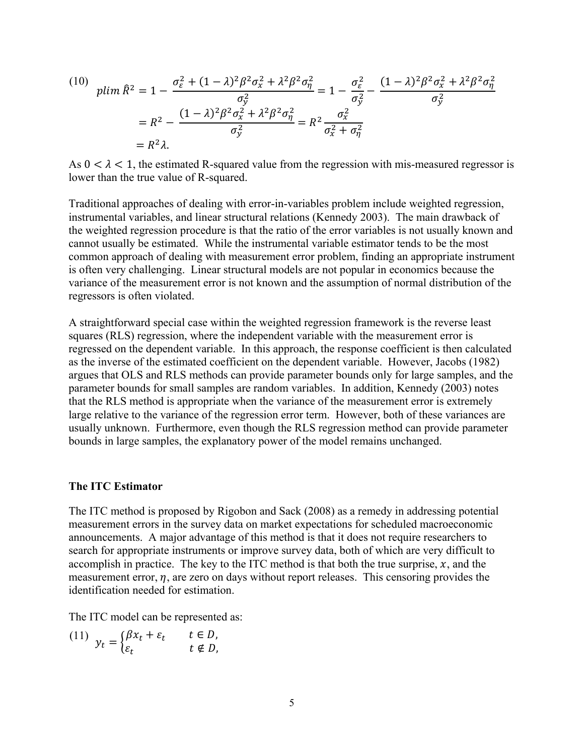(10) 
$$
plim \ \hat{R}^2 = 1 - \frac{\sigma_{\varepsilon}^2 + (1 - \lambda)^2 \beta^2 \sigma_{x}^2 + \lambda^2 \beta^2 \sigma_{\eta}^2}{\sigma_{y}^2} = 1 - \frac{\sigma_{\varepsilon}^2}{\sigma_{y}^2} - \frac{(1 - \lambda)^2 \beta^2 \sigma_{x}^2 + \lambda^2 \beta^2 \sigma_{\eta}^2}{\sigma_{y}^2}
$$

$$
= R^2 - \frac{(1 - \lambda)^2 \beta^2 \sigma_{x}^2 + \lambda^2 \beta^2 \sigma_{\eta}^2}{\sigma_{y}^2} = R^2 \frac{\sigma_{x}^2}{\sigma_{x}^2 + \sigma_{\eta}^2}
$$

$$
= R^2 \lambda.
$$

As  $0 < \lambda < 1$ , the estimated R-squared value from the regression with mis-measured regressor is lower than the true value of R-squared.

Traditional approaches of dealing with error-in-variables problem include weighted regression, instrumental variables, and linear structural relations (Kennedy 2003). The main drawback of the weighted regression procedure is that the ratio of the error variables is not usually known and cannot usually be estimated. While the instrumental variable estimator tends to be the most common approach of dealing with measurement error problem, finding an appropriate instrument is often very challenging. Linear structural models are not popular in economics because the variance of the measurement error is not known and the assumption of normal distribution of the regressors is often violated.

A straightforward special case within the weighted regression framework is the reverse least squares (RLS) regression, where the independent variable with the measurement error is regressed on the dependent variable. In this approach, the response coefficient is then calculated as the inverse of the estimated coefficient on the dependent variable. However, Jacobs (1982) argues that OLS and RLS methods can provide parameter bounds only for large samples, and the parameter bounds for small samples are random variables. In addition, Kennedy (2003) notes that the RLS method is appropriate when the variance of the measurement error is extremely large relative to the variance of the regression error term. However, both of these variances are usually unknown. Furthermore, even though the RLS regression method can provide parameter bounds in large samples, the explanatory power of the model remains unchanged.

#### **The ITC Estimator**

The ITC method is proposed by Rigobon and Sack (2008) as a remedy in addressing potential measurement errors in the survey data on market expectations for scheduled macroeconomic announcements. A major advantage of this method is that it does not require researchers to search for appropriate instruments or improve survey data, both of which are very difficult to accomplish in practice. The key to the ITC method is that both the true surprise,  $x$ , and the measurement error,  $\eta$ , are zero on days without report releases. This censoring provides the identification needed for estimation.

The ITC model can be represented as:

(11)  $y_t = \begin{cases} \beta x_t + \varepsilon_t & t \in D, \\ \varepsilon_t & t \notin D, \end{cases}$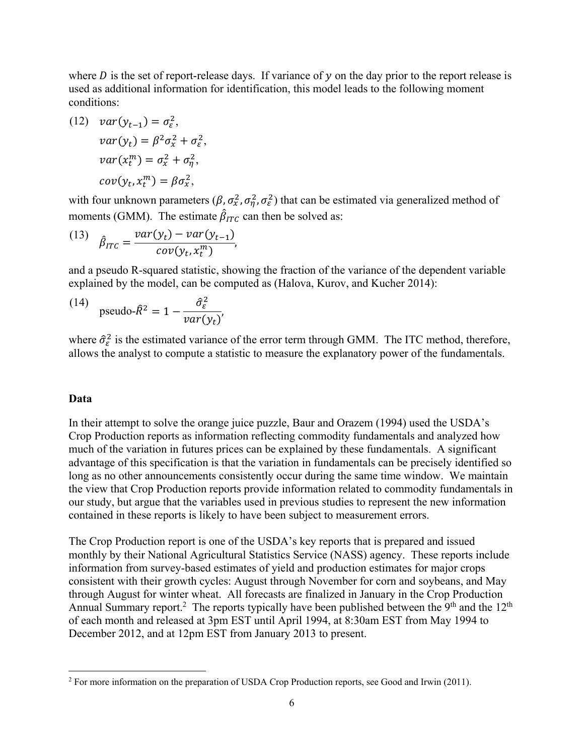where  $D$  is the set of report-release days. If variance of  $y$  on the day prior to the report release is used as additional information for identification, this model leads to the following moment conditions:

(12) 
$$
var(y_{t-1}) = \sigma_{\varepsilon}^2
$$
,  
\n $var(y_t) = \beta^2 \sigma_x^2 + \sigma_{\varepsilon}^2$ ,  
\n $var(x_t^m) = \sigma_x^2 + \sigma_{\eta}^2$ ,  
\n $cov(y_t, x_t^m) = \beta \sigma_x^2$ ,

with four unknown parameters  $(\beta, \sigma_x^2, \sigma_\eta^2, \sigma_\varepsilon^2)$  that can be estimated via generalized method of moments (GMM). The estimate  $\hat{\beta}_{ITC}$  can then be solved as:

(13) 
$$
\hat{\beta}_{ITC} = \frac{var(y_t) - var(y_{t-1})}{cov(y_t, x_t^m)},
$$

and a pseudo R-squared statistic, showing the fraction of the variance of the dependent variable explained by the model, can be computed as (Halova, Kurov, and Kucher 2014):

(14) pseudo-
$$
\hat{R}^2 = 1 - \frac{\hat{\sigma}_{\varepsilon}^2}{var(y_t)}
$$
,

where  $\hat{\sigma}_{\varepsilon}^2$  is the estimated variance of the error term through GMM. The ITC method, therefore, allows the analyst to compute a statistic to measure the explanatory power of the fundamentals.

## **Data**

In their attempt to solve the orange juice puzzle, Baur and Orazem (1994) used the USDA's Crop Production reports as information reflecting commodity fundamentals and analyzed how much of the variation in futures prices can be explained by these fundamentals. A significant advantage of this specification is that the variation in fundamentals can be precisely identified so long as no other announcements consistently occur during the same time window. We maintain the view that Crop Production reports provide information related to commodity fundamentals in our study, but argue that the variables used in previous studies to represent the new information contained in these reports is likely to have been subject to measurement errors.

The Crop Production report is one of the USDA's key reports that is prepared and issued monthly by their National Agricultural Statistics Service (NASS) agency. These reports include information from survey-based estimates of yield and production estimates for major crops consistent with their growth cycles: August through November for corn and soybeans, and May through August for winter wheat. All forecasts are finalized in January in the Crop Production Annual Summary report.<sup>2</sup> The reports typically have been published between the 9<sup>th</sup> and the 12<sup>th</sup> of each month and released at 3pm EST until April 1994, at 8:30am EST from May 1994 to December 2012, and at 12pm EST from January 2013 to present.

 $2^2$  For more information on the preparation of USDA Crop Production reports, see Good and Irwin (2011).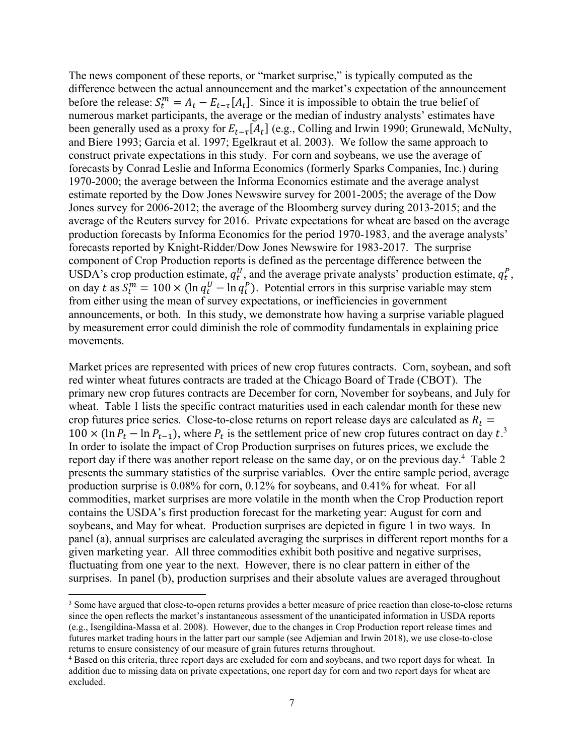The news component of these reports, or "market surprise," is typically computed as the difference between the actual announcement and the market's expectation of the announcement before the release:  $S_t^m = A_t - E_{t-\tau}[A_t]$ . Since it is impossible to obtain the true belief of numerous market participants, the average or the median of industry analysts' estimates have been generally used as a proxy for  $E_{t-\tau}[A_t]$  (e.g., Colling and Irwin 1990; Grunewald, McNulty, and Biere 1993; Garcia et al. 1997; Egelkraut et al. 2003). We follow the same approach to construct private expectations in this study. For corn and soybeans, we use the average of forecasts by Conrad Leslie and Informa Economics (formerly Sparks Companies, Inc.) during 1970-2000; the average between the Informa Economics estimate and the average analyst estimate reported by the Dow Jones Newswire survey for 2001-2005; the average of the Dow Jones survey for 2006-2012; the average of the Bloomberg survey during 2013-2015; and the average of the Reuters survey for 2016. Private expectations for wheat are based on the average production forecasts by Informa Economics for the period 1970-1983, and the average analysts' forecasts reported by Knight-Ridder/Dow Jones Newswire for 1983-2017. The surprise component of Crop Production reports is defined as the percentage difference between the USDA's crop production estimate,  $q_t^U$ , and the average private analysts' production estimate,  $q_t^P$ , on day t as  $S_t^m = 100 \times (\ln q_t^U - \ln q_t^P)$ . Potential errors in this surprise variable may stem from either using the mean of survey expectations, or inefficiencies in government announcements, or both. In this study, we demonstrate how having a surprise variable plagued by measurement error could diminish the role of commodity fundamentals in explaining price movements.

Market prices are represented with prices of new crop futures contracts. Corn, soybean, and soft red winter wheat futures contracts are traded at the Chicago Board of Trade (CBOT). The primary new crop futures contracts are December for corn, November for soybeans, and July for wheat. Table 1 lists the specific contract maturities used in each calendar month for these new crop futures price series. Close-to-close returns on report release days are calculated as  $R_t$  =  $100 \times (\ln P_t - \ln P_{t-1})$ , where  $P_t$  is the settlement price of new crop futures contract on day  $t^3$ . In order to isolate the impact of Crop Production surprises on futures prices, we exclude the report day if there was another report release on the same day, or on the previous day.<sup>4</sup> Table 2 presents the summary statistics of the surprise variables. Over the entire sample period, average production surprise is 0.08% for corn, 0.12% for soybeans, and 0.41% for wheat. For all commodities, market surprises are more volatile in the month when the Crop Production report contains the USDA's first production forecast for the marketing year: August for corn and soybeans, and May for wheat. Production surprises are depicted in figure 1 in two ways. In panel (a), annual surprises are calculated averaging the surprises in different report months for a given marketing year. All three commodities exhibit both positive and negative surprises, fluctuating from one year to the next. However, there is no clear pattern in either of the surprises. In panel (b), production surprises and their absolute values are averaged throughout

<sup>&</sup>lt;sup>3</sup> Some have argued that close-to-open returns provides a better measure of price reaction than close-to-close returns since the open reflects the market's instantaneous assessment of the unanticipated information in USDA reports (e.g., Isengildina-Massa et al. 2008). However, due to the changes in Crop Production report release times and futures market trading hours in the latter part our sample (see Adjemian and Irwin 2018), we use close-to-close returns to ensure consistency of our measure of grain futures returns throughout. 4

<sup>&</sup>lt;sup>4</sup> Based on this criteria, three report days are excluded for corn and soybeans, and two report days for wheat. In addition due to missing data on private expectations, one report day for corn and two report days for wheat are excluded.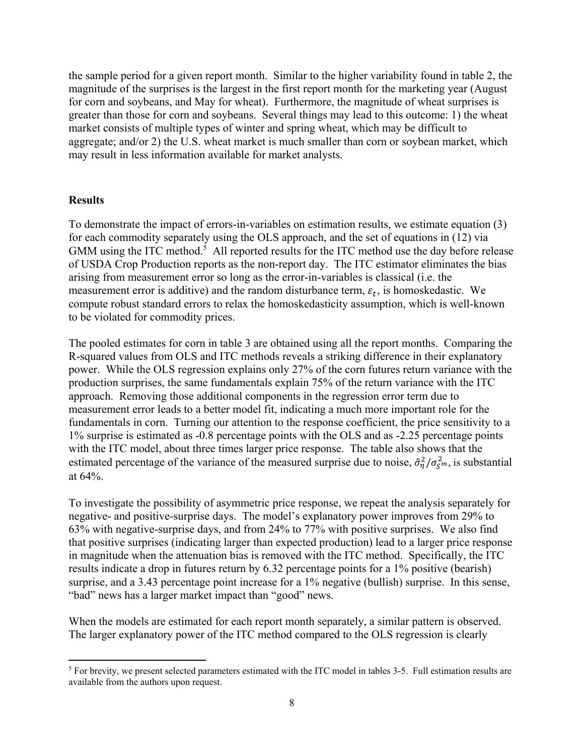the sample period for a given report month. Similar to the higher variability found in table 2, the magnitude of the surprises is the largest in the first report month for the marketing year (August for corn and soybeans, and May for wheat). Furthermore, the magnitude of wheat surprises is greater than those for corn and soybeans. Several things may lead to this outcome: 1) the wheat market consists of multiple types of winter and spring wheat, which may be difficult to aggregate; and/or 2) the U.S. wheat market is much smaller than corn or soybean market, which may result in less information available for market analysts.

## **Results**

To demonstrate the impact of errors-in-variables on estimation results, we estimate equation (3) for each commodity separately using the OLS approach, and the set of equations in (12) via GMM using the ITC method.<sup>5</sup> All reported results for the ITC method use the day before release of USDA Crop Production reports as the non-report day. The ITC estimator eliminates the bias arising from measurement error so long as the error-in-variables is classical (i.e. the measurement error is additive) and the random disturbance term,  $\varepsilon_t$ , is homoskedastic. We compute robust standard errors to relax the homoskedasticity assumption, which is well-known to be violated for commodity prices.

The pooled estimates for corn in table 3 are obtained using all the report months. Comparing the R-squared values from OLS and ITC methods reveals a striking difference in their explanatory power. While the OLS regression explains only 27% of the corn futures return variance with the production surprises, the same fundamentals explain 75% of the return variance with the ITC approach. Removing those additional components in the regression error term due to measurement error leads to a better model fit, indicating a much more important role for the fundamentals in corn. Turning our attention to the response coefficient, the price sensitivity to a 1% surprise is estimated as -0.8 percentage points with the OLS and as -2.25 percentage points with the ITC model, about three times larger price response. The table also shows that the estimated percentage of the variance of the measured surprise due to noise,  $\hat{\sigma}_{\eta}^2/\sigma_{S^m}^2$ , is substantial at 64%.

To investigate the possibility of asymmetric price response, we repeat the analysis separately for negative- and positive-surprise days. The model's explanatory power improves from 29% to 63% with negative-surprise days, and from 24% to 77% with positive surprises. We also find that positive surprises (indicating larger than expected production) lead to a larger price response in magnitude when the attenuation bias is removed with the ITC method. Specifically, the ITC results indicate a drop in futures return by 6.32 percentage points for a 1% positive (bearish) surprise, and a 3.43 percentage point increase for a 1% negative (bullish) surprise. In this sense, "bad" news has a larger market impact than "good" news.

When the models are estimated for each report month separately, a similar pattern is observed. The larger explanatory power of the ITC method compared to the OLS regression is clearly

<sup>&</sup>lt;sup>5</sup> For brevity, we present selected parameters estimated with the ITC model in tables 3-5. Full estimation results are available from the authors upon request.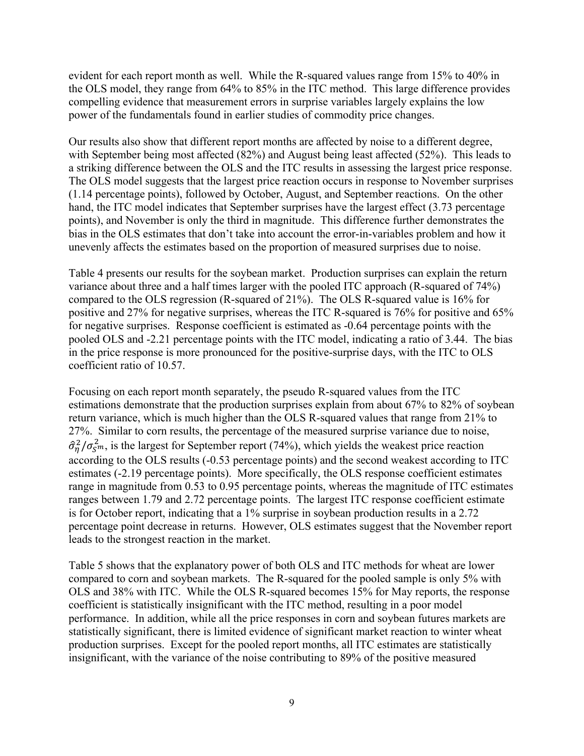evident for each report month as well. While the R-squared values range from 15% to 40% in the OLS model, they range from 64% to 85% in the ITC method. This large difference provides compelling evidence that measurement errors in surprise variables largely explains the low power of the fundamentals found in earlier studies of commodity price changes.

Our results also show that different report months are affected by noise to a different degree, with September being most affected (82%) and August being least affected (52%). This leads to a striking difference between the OLS and the ITC results in assessing the largest price response. The OLS model suggests that the largest price reaction occurs in response to November surprises (1.14 percentage points), followed by October, August, and September reactions. On the other hand, the ITC model indicates that September surprises have the largest effect (3.73 percentage points), and November is only the third in magnitude. This difference further demonstrates the bias in the OLS estimates that don't take into account the error-in-variables problem and how it unevenly affects the estimates based on the proportion of measured surprises due to noise.

Table 4 presents our results for the soybean market. Production surprises can explain the return variance about three and a half times larger with the pooled ITC approach (R-squared of 74%) compared to the OLS regression (R-squared of 21%). The OLS R-squared value is 16% for positive and 27% for negative surprises, whereas the ITC R-squared is 76% for positive and 65% for negative surprises. Response coefficient is estimated as -0.64 percentage points with the pooled OLS and -2.21 percentage points with the ITC model, indicating a ratio of 3.44. The bias in the price response is more pronounced for the positive-surprise days, with the ITC to OLS coefficient ratio of 10.57.

Focusing on each report month separately, the pseudo R-squared values from the ITC estimations demonstrate that the production surprises explain from about 67% to 82% of soybean return variance, which is much higher than the OLS R-squared values that range from 21% to 27%. Similar to corn results, the percentage of the measured surprise variance due to noise,  $\hat{\sigma}_{\eta}^2/\sigma_{\rm s}^2$ , is the largest for September report (74%), which yields the weakest price reaction according to the OLS results (-0.53 percentage points) and the second weakest according to ITC estimates (-2.19 percentage points). More specifically, the OLS response coefficient estimates range in magnitude from 0.53 to 0.95 percentage points, whereas the magnitude of ITC estimates ranges between 1.79 and 2.72 percentage points. The largest ITC response coefficient estimate is for October report, indicating that a 1% surprise in soybean production results in a 2.72 percentage point decrease in returns. However, OLS estimates suggest that the November report leads to the strongest reaction in the market.

Table 5 shows that the explanatory power of both OLS and ITC methods for wheat are lower compared to corn and soybean markets. The R-squared for the pooled sample is only 5% with OLS and 38% with ITC. While the OLS R-squared becomes 15% for May reports, the response coefficient is statistically insignificant with the ITC method, resulting in a poor model performance. In addition, while all the price responses in corn and soybean futures markets are statistically significant, there is limited evidence of significant market reaction to winter wheat production surprises. Except for the pooled report months, all ITC estimates are statistically insignificant, with the variance of the noise contributing to 89% of the positive measured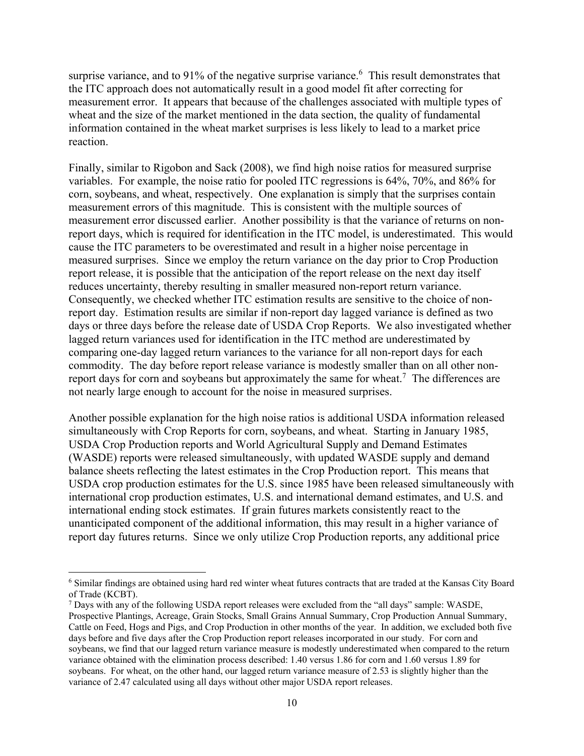surprise variance, and to 91% of the negative surprise variance. <sup>6</sup> This result demonstrates that the ITC approach does not automatically result in a good model fit after correcting for measurement error. It appears that because of the challenges associated with multiple types of wheat and the size of the market mentioned in the data section, the quality of fundamental information contained in the wheat market surprises is less likely to lead to a market price reaction.

Finally, similar to Rigobon and Sack (2008), we find high noise ratios for measured surprise variables. For example, the noise ratio for pooled ITC regressions is 64%, 70%, and 86% for corn, soybeans, and wheat, respectively. One explanation is simply that the surprises contain measurement errors of this magnitude. This is consistent with the multiple sources of measurement error discussed earlier. Another possibility is that the variance of returns on nonreport days, which is required for identification in the ITC model, is underestimated. This would cause the ITC parameters to be overestimated and result in a higher noise percentage in measured surprises. Since we employ the return variance on the day prior to Crop Production report release, it is possible that the anticipation of the report release on the next day itself reduces uncertainty, thereby resulting in smaller measured non-report return variance. Consequently, we checked whether ITC estimation results are sensitive to the choice of nonreport day. Estimation results are similar if non-report day lagged variance is defined as two days or three days before the release date of USDA Crop Reports. We also investigated whether lagged return variances used for identification in the ITC method are underestimated by comparing one-day lagged return variances to the variance for all non-report days for each commodity. The day before report release variance is modestly smaller than on all other nonreport days for corn and soybeans but approximately the same for wheat.<sup>7</sup> The differences are not nearly large enough to account for the noise in measured surprises.

Another possible explanation for the high noise ratios is additional USDA information released simultaneously with Crop Reports for corn, soybeans, and wheat. Starting in January 1985, USDA Crop Production reports and World Agricultural Supply and Demand Estimates (WASDE) reports were released simultaneously, with updated WASDE supply and demand balance sheets reflecting the latest estimates in the Crop Production report. This means that USDA crop production estimates for the U.S. since 1985 have been released simultaneously with international crop production estimates, U.S. and international demand estimates, and U.S. and international ending stock estimates. If grain futures markets consistently react to the unanticipated component of the additional information, this may result in a higher variance of report day futures returns. Since we only utilize Crop Production reports, any additional price

<sup>&</sup>lt;sup>6</sup> Similar findings are obtained using hard red winter wheat futures contracts that are traded at the Kansas City Board of Trade (KCBT).

<sup>&</sup>lt;sup>7</sup> Days with any of the following USDA report releases were excluded from the "all days" sample: WASDE, Prospective Plantings, Acreage, Grain Stocks, Small Grains Annual Summary, Crop Production Annual Summary, Cattle on Feed, Hogs and Pigs, and Crop Production in other months of the year. In addition, we excluded both five days before and five days after the Crop Production report releases incorporated in our study. For corn and soybeans, we find that our lagged return variance measure is modestly underestimated when compared to the return variance obtained with the elimination process described: 1.40 versus 1.86 for corn and 1.60 versus 1.89 for soybeans. For wheat, on the other hand, our lagged return variance measure of 2.53 is slightly higher than the variance of 2.47 calculated using all days without other major USDA report releases.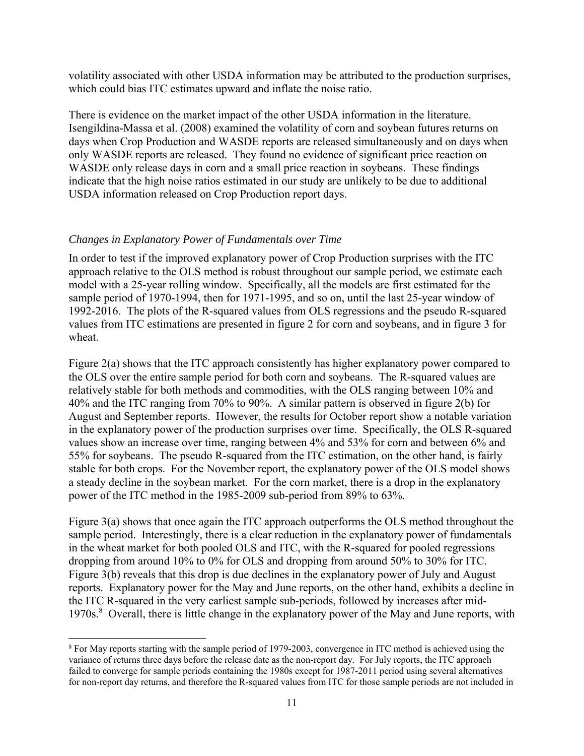volatility associated with other USDA information may be attributed to the production surprises, which could bias ITC estimates upward and inflate the noise ratio.

There is evidence on the market impact of the other USDA information in the literature. Isengildina-Massa et al. (2008) examined the volatility of corn and soybean futures returns on days when Crop Production and WASDE reports are released simultaneously and on days when only WASDE reports are released. They found no evidence of significant price reaction on WASDE only release days in corn and a small price reaction in soybeans. These findings indicate that the high noise ratios estimated in our study are unlikely to be due to additional USDA information released on Crop Production report days.

# *Changes in Explanatory Power of Fundamentals over Time*

In order to test if the improved explanatory power of Crop Production surprises with the ITC approach relative to the OLS method is robust throughout our sample period, we estimate each model with a 25-year rolling window. Specifically, all the models are first estimated for the sample period of 1970-1994, then for 1971-1995, and so on, until the last 25-year window of 1992-2016. The plots of the R-squared values from OLS regressions and the pseudo R-squared values from ITC estimations are presented in figure 2 for corn and soybeans, and in figure 3 for wheat.

Figure 2(a) shows that the ITC approach consistently has higher explanatory power compared to the OLS over the entire sample period for both corn and soybeans. The R-squared values are relatively stable for both methods and commodities, with the OLS ranging between 10% and 40% and the ITC ranging from 70% to 90%. A similar pattern is observed in figure 2(b) for August and September reports. However, the results for October report show a notable variation in the explanatory power of the production surprises over time. Specifically, the OLS R-squared values show an increase over time, ranging between 4% and 53% for corn and between 6% and 55% for soybeans. The pseudo R-squared from the ITC estimation, on the other hand, is fairly stable for both crops. For the November report, the explanatory power of the OLS model shows a steady decline in the soybean market. For the corn market, there is a drop in the explanatory power of the ITC method in the 1985-2009 sub-period from 89% to 63%.

Figure 3(a) shows that once again the ITC approach outperforms the OLS method throughout the sample period. Interestingly, there is a clear reduction in the explanatory power of fundamentals in the wheat market for both pooled OLS and ITC, with the R-squared for pooled regressions dropping from around 10% to 0% for OLS and dropping from around 50% to 30% for ITC. Figure 3(b) reveals that this drop is due declines in the explanatory power of July and August reports. Explanatory power for the May and June reports, on the other hand, exhibits a decline in the ITC R-squared in the very earliest sample sub-periods, followed by increases after mid-1970s.<sup>8</sup> Overall, there is little change in the explanatory power of the May and June reports, with

 <sup>8</sup> For May reports starting with the sample period of 1979-2003, convergence in ITC method is achieved using the variance of returns three days before the release date as the non-report day. For July reports, the ITC approach failed to converge for sample periods containing the 1980s except for 1987-2011 period using several alternatives for non-report day returns, and therefore the R-squared values from ITC for those sample periods are not included in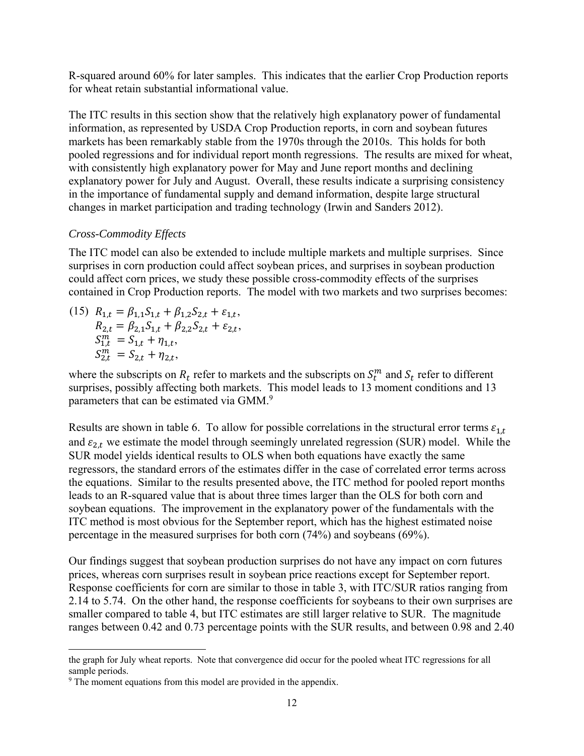R-squared around 60% for later samples. This indicates that the earlier Crop Production reports for wheat retain substantial informational value.

The ITC results in this section show that the relatively high explanatory power of fundamental information, as represented by USDA Crop Production reports, in corn and soybean futures markets has been remarkably stable from the 1970s through the 2010s. This holds for both pooled regressions and for individual report month regressions. The results are mixed for wheat, with consistently high explanatory power for May and June report months and declining explanatory power for July and August. Overall, these results indicate a surprising consistency in the importance of fundamental supply and demand information, despite large structural changes in market participation and trading technology (Irwin and Sanders 2012).

# *Cross-Commodity Effects*

The ITC model can also be extended to include multiple markets and multiple surprises. Since surprises in corn production could affect soybean prices, and surprises in soybean production could affect corn prices, we study these possible cross-commodity effects of the surprises contained in Crop Production reports. The model with two markets and two surprises becomes:

(15) 
$$
R_{1,t} = \beta_{1,1} S_{1,t} + \beta_{1,2} S_{2,t} + \varepsilon_{1,t},
$$
  
\n $R_{2,t} = \beta_{2,1} S_{1,t} + \beta_{2,2} S_{2,t} + \varepsilon_{2,t},$   
\n $S_{1,t}^m = S_{1,t} + \eta_{1,t},$   
\n $S_{2,t}^m = S_{2,t} + \eta_{2,t},$ 

where the subscripts on  $R_t$  refer to markets and the subscripts on  $S_t^m$  and  $S_t$  refer to different surprises, possibly affecting both markets. This model leads to 13 moment conditions and 13 parameters that can be estimated via GMM.<sup>9</sup>

Results are shown in table 6. To allow for possible correlations in the structural error terms  $\varepsilon_{1,t}$ and  $\varepsilon_{2,t}$  we estimate the model through seemingly unrelated regression (SUR) model. While the SUR model yields identical results to OLS when both equations have exactly the same regressors, the standard errors of the estimates differ in the case of correlated error terms across the equations. Similar to the results presented above, the ITC method for pooled report months leads to an R-squared value that is about three times larger than the OLS for both corn and soybean equations. The improvement in the explanatory power of the fundamentals with the ITC method is most obvious for the September report, which has the highest estimated noise percentage in the measured surprises for both corn (74%) and soybeans (69%).

Our findings suggest that soybean production surprises do not have any impact on corn futures prices, whereas corn surprises result in soybean price reactions except for September report. Response coefficients for corn are similar to those in table 3, with ITC/SUR ratios ranging from 2.14 to 5.74. On the other hand, the response coefficients for soybeans to their own surprises are smaller compared to table 4, but ITC estimates are still larger relative to SUR. The magnitude ranges between 0.42 and 0.73 percentage points with the SUR results, and between 0.98 and 2.40

 the graph for July wheat reports. Note that convergence did occur for the pooled wheat ITC regressions for all sample periods.

<sup>&</sup>lt;sup>9</sup> The moment equations from this model are provided in the appendix.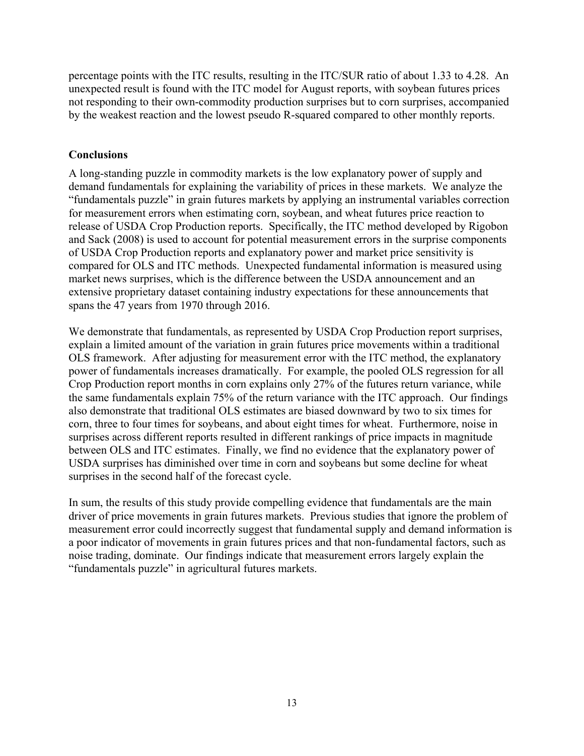percentage points with the ITC results, resulting in the ITC/SUR ratio of about 1.33 to 4.28. An unexpected result is found with the ITC model for August reports, with soybean futures prices not responding to their own-commodity production surprises but to corn surprises, accompanied by the weakest reaction and the lowest pseudo R-squared compared to other monthly reports.

# **Conclusions**

A long-standing puzzle in commodity markets is the low explanatory power of supply and demand fundamentals for explaining the variability of prices in these markets. We analyze the "fundamentals puzzle" in grain futures markets by applying an instrumental variables correction for measurement errors when estimating corn, soybean, and wheat futures price reaction to release of USDA Crop Production reports. Specifically, the ITC method developed by Rigobon and Sack (2008) is used to account for potential measurement errors in the surprise components of USDA Crop Production reports and explanatory power and market price sensitivity is compared for OLS and ITC methods. Unexpected fundamental information is measured using market news surprises, which is the difference between the USDA announcement and an extensive proprietary dataset containing industry expectations for these announcements that spans the 47 years from 1970 through 2016.

We demonstrate that fundamentals, as represented by USDA Crop Production report surprises, explain a limited amount of the variation in grain futures price movements within a traditional OLS framework. After adjusting for measurement error with the ITC method, the explanatory power of fundamentals increases dramatically. For example, the pooled OLS regression for all Crop Production report months in corn explains only 27% of the futures return variance, while the same fundamentals explain 75% of the return variance with the ITC approach. Our findings also demonstrate that traditional OLS estimates are biased downward by two to six times for corn, three to four times for soybeans, and about eight times for wheat. Furthermore, noise in surprises across different reports resulted in different rankings of price impacts in magnitude between OLS and ITC estimates. Finally, we find no evidence that the explanatory power of USDA surprises has diminished over time in corn and soybeans but some decline for wheat surprises in the second half of the forecast cycle.

In sum, the results of this study provide compelling evidence that fundamentals are the main driver of price movements in grain futures markets. Previous studies that ignore the problem of measurement error could incorrectly suggest that fundamental supply and demand information is a poor indicator of movements in grain futures prices and that non-fundamental factors, such as noise trading, dominate. Our findings indicate that measurement errors largely explain the "fundamentals puzzle" in agricultural futures markets.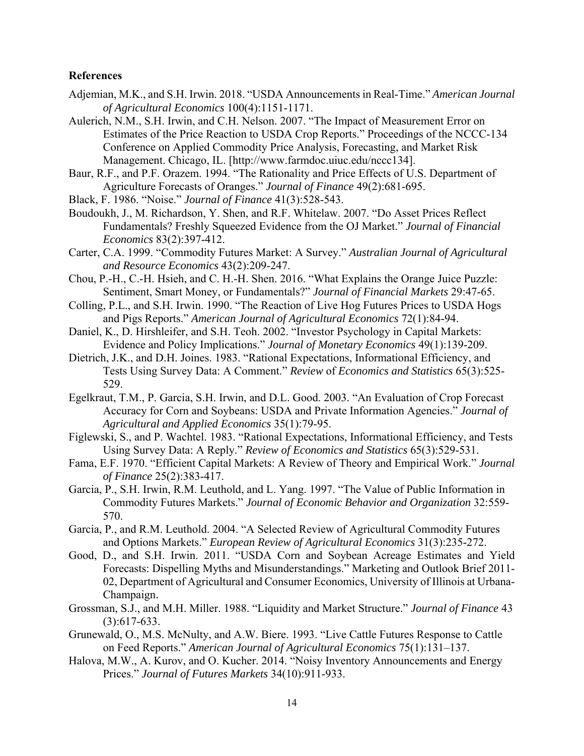### **References**

- Adjemian, M.K., and S.H. Irwin. 2018. "USDA Announcements in Real-Time." *American Journal of Agricultural Economics* 100(4):1151-1171.
- Aulerich, N.M., S.H. Irwin, and C.H. Nelson. 2007. "The Impact of Measurement Error on Estimates of the Price Reaction to USDA Crop Reports." Proceedings of the NCCC-134 Conference on Applied Commodity Price Analysis, Forecasting, and Market Risk Management. Chicago, IL. [http://www.farmdoc.uiuc.edu/nccc134].
- Baur, R.F., and P.F. Orazem. 1994. "The Rationality and Price Effects of U.S. Department of Agriculture Forecasts of Oranges." *Journal of Finance* 49(2):681-695.
- Black, F. 1986. "Noise." *Journal of Finance* 41(3):528-543.
- Boudoukh, J., M. Richardson, Y. Shen, and R.F. Whitelaw. 2007. "Do Asset Prices Reflect Fundamentals? Freshly Squeezed Evidence from the OJ Market." *Journal of Financial Economics* 83(2):397-412.
- Carter, C.A. 1999. "Commodity Futures Market: A Survey." *Australian Journal of Agricultural and Resource Economics* 43(2):209-247.
- Chou, P.-H., C.-H. Hsieh, and C. H.-H. Shen. 2016. "What Explains the Orange Juice Puzzle: Sentiment, Smart Money, or Fundamentals?" *Journal of Financial Markets* 29:47-65.
- Colling, P.L., and S.H. Irwin. 1990. "The Reaction of Live Hog Futures Prices to USDA Hogs and Pigs Reports." *American Journal of Agricultural Economics* 72(1):84-94.
- Daniel, K., D. Hirshleifer, and S.H. Teoh. 2002. "Investor Psychology in Capital Markets: Evidence and Policy Implications." *Journal of Monetary Economics* 49(1):139-209.
- Dietrich, J.K., and D.H. Joines. 1983. "Rational Expectations, Informational Efficiency, and Tests Using Survey Data: A Comment." *Review* of *Economics and Statistics* 65(3):525- 529.
- Egelkraut, T.M., P. Garcia, S.H. Irwin, and D.L. Good. 2003. "An Evaluation of Crop Forecast Accuracy for Corn and Soybeans: USDA and Private Information Agencies." *Journal of Agricultural and Applied Economics* 35(1):79-95.
- Figlewski, S., and P. Wachtel. 1983. "Rational Expectations, Informational Efficiency, and Tests Using Survey Data: A Reply." *Review of Economics and Statistics* 65(3):529-531.
- Fama, E.F. 1970. "Efficient Capital Markets: A Review of Theory and Empirical Work." *Journal of Finance* 25(2):383-417.
- Garcia, P., S.H. Irwin, R.M. Leuthold, and L. Yang. 1997. "The Value of Public Information in Commodity Futures Markets." *Journal of Economic Behavior and Organization* 32:559- 570.
- Garcia, P., and R.M. Leuthold. 2004. "A Selected Review of Agricultural Commodity Futures and Options Markets." *European Review of Agricultural Economics* 31(3):235-272.
- Good, D., and S.H. Irwin. 2011. "USDA Corn and Soybean Acreage Estimates and Yield Forecasts: Dispelling Myths and Misunderstandings." Marketing and Outlook Brief 2011- 02, Department of Agricultural and Consumer Economics, University of Illinois at Urbana-Champaign.
- Grossman, S.J., and M.H. Miller. 1988. "Liquidity and Market Structure." *Journal of Finance* 43 (3):617-633.
- Grunewald, O., M.S. McNulty, and A.W. Biere. 1993. "Live Cattle Futures Response to Cattle on Feed Reports." *American Journal of Agricultural Economics* 75(1):131–137.
- Halova, M.W., A. Kurov, and O. Kucher. 2014. "Noisy Inventory Announcements and Energy Prices." *Journal of Futures Markets* 34(10):911-933.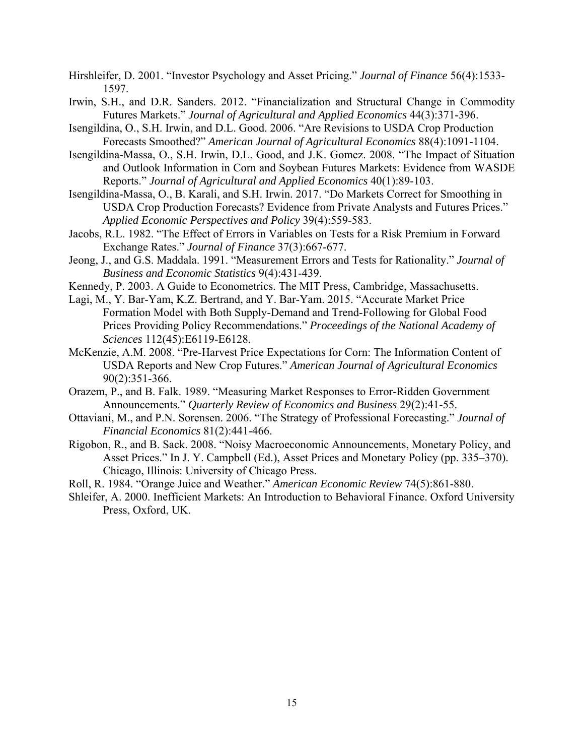- Hirshleifer, D. 2001. "Investor Psychology and Asset Pricing." *Journal of Finance* 56(4):1533- 1597.
- Irwin, S.H., and D.R. Sanders. 2012. "Financialization and Structural Change in Commodity Futures Markets." *Journal of Agricultural and Applied Economics* 44(3):371-396.
- Isengildina, O., S.H. Irwin, and D.L. Good. 2006. "Are Revisions to USDA Crop Production Forecasts Smoothed?" *American Journal of Agricultural Economics* 88(4):1091-1104.
- Isengildina-Massa, O., S.H. Irwin, D.L. Good, and J.K. Gomez. 2008. "The Impact of Situation and Outlook Information in Corn and Soybean Futures Markets: Evidence from WASDE Reports." *Journal of Agricultural and Applied Economics* 40(1):89-103.
- Isengildina-Massa, O., B. Karali, and S.H. Irwin. 2017. "Do Markets Correct for Smoothing in USDA Crop Production Forecasts? Evidence from Private Analysts and Futures Prices." *Applied Economic Perspectives and Policy* 39(4):559-583.
- Jacobs, R.L. 1982. "The Effect of Errors in Variables on Tests for a Risk Premium in Forward Exchange Rates." *Journal of Finance* 37(3):667-677.
- Jeong, J., and G.S. Maddala. 1991. "Measurement Errors and Tests for Rationality." *Journal of Business and Economic Statistics* 9(4):431-439.
- Kennedy, P. 2003. A Guide to Econometrics. The MIT Press, Cambridge, Massachusetts.
- Lagi, M., Y. Bar-Yam, K.Z. Bertrand, and Y. Bar-Yam. 2015. "Accurate Market Price Formation Model with Both Supply-Demand and Trend-Following for Global Food Prices Providing Policy Recommendations." *Proceedings of the National Academy of Sciences* 112(45):E6119-E6128.
- McKenzie, A.M. 2008. "Pre-Harvest Price Expectations for Corn: The Information Content of USDA Reports and New Crop Futures." *American Journal of Agricultural Economics* 90(2):351-366.
- Orazem, P., and B. Falk. 1989. "Measuring Market Responses to Error-Ridden Government Announcements." *Quarterly Review of Economics and Business* 29(2):41-55.
- Ottaviani, M., and P.N. Sorensen. 2006. "The Strategy of Professional Forecasting." *Journal of Financial Economics* 81(2):441-466.
- Rigobon, R., and B. Sack. 2008. "Noisy Macroeconomic Announcements, Monetary Policy, and Asset Prices." In J. Y. Campbell (Ed.), Asset Prices and Monetary Policy (pp. 335–370). Chicago, Illinois: University of Chicago Press.
- Roll, R. 1984. "Orange Juice and Weather." *American Economic Review* 74(5):861-880.
- Shleifer, A. 2000. Inefficient Markets: An Introduction to Behavioral Finance. Oxford University Press, Oxford, UK.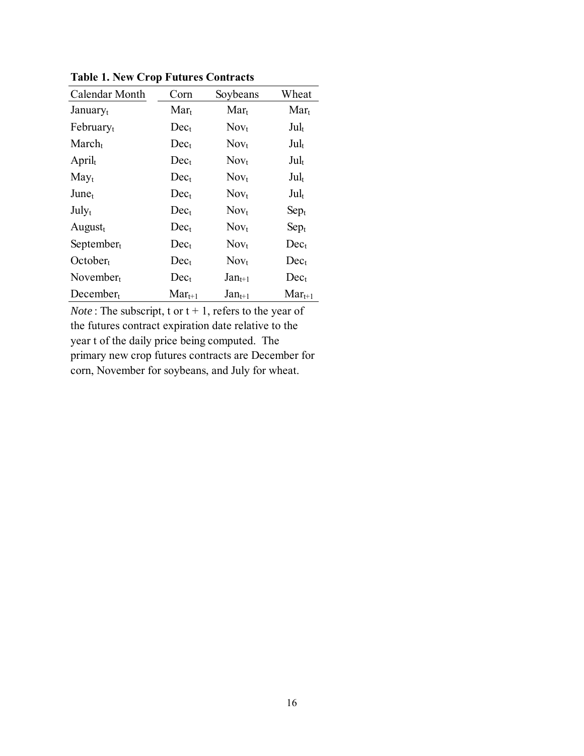| Calendar Month       | Corn        | Soybeans         | Wheat              |
|----------------------|-------------|------------------|--------------------|
| January <sub>t</sub> | $Mar_t$     | $Mar_t$          | $Mar_t$            |
| Februaryt            | $Dec_t$     | Nov <sub>t</sub> | $\text{Jul}_t$     |
| $March_t$            | $Dec_{t}$   | Nov <sub>t</sub> | $\mathrm{Jul}_{t}$ |
| $April_t$            | $Dec_{t}$   | $Nov_t$          | $\text{Jul}_{t}$   |
| $May_t$              | $Dec_{t}$   | Nov <sub>t</sub> | $\mathrm{Jul}_{t}$ |
| June <sub>t</sub>    | $Dec_{t}$   | Nov <sub>t</sub> | $\mathrm{Jul}_{t}$ |
| July <sub>t</sub>    | $Dec_{t}$   | $Nov_t$          | $Sep_t$            |
| August $t$           | $Dec_{t}$   | Nov <sub>t</sub> | $Sep_t$            |
| $September_t$        | $Dec_{t}$   | Nov <sub>t</sub> | $Dec_{t}$          |
| October <sub>t</sub> | $Dec_t$     | Nov <sub>t</sub> | $Dec_{t}$          |
| November $t$         | $Dec_{t}$   | $Jan_{t+1}$      | $Dec_{t}$          |
| $December_t$         | $Mar_{t+1}$ | $Jan_{t+1}$      | $Mar_{t+1}$        |

**Table 1. New Crop Futures Contracts**

*Note*: The subscript, t or  $t + 1$ , refers to the year of the futures contract expiration date relative to the year t of the daily price being computed. The primary new crop futures contracts are December for corn, November for soybeans, and July for wheat.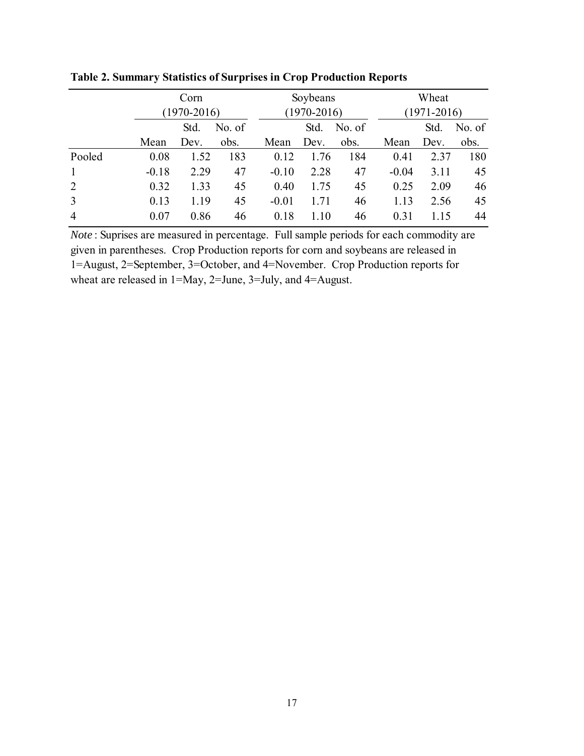|                |         | Corn<br>$(1970 - 2016)$ |      |         | Soybeans        |      |         | Wheat           |        |  |
|----------------|---------|-------------------------|------|---------|-----------------|------|---------|-----------------|--------|--|
|                |         |                         |      |         | $(1970 - 2016)$ |      |         | $(1971 - 2016)$ |        |  |
|                |         | Std.<br>No. of          |      |         | No. of<br>Std.  |      |         | Std.            | No. of |  |
|                | Mean    | Dev.                    | obs. | Mean    | Dev.            | obs. | Mean    | Dev.            | obs.   |  |
| Pooled         | 0.08    | 1.52                    | 183  | 0.12    | 1.76            | 184  | 0.41    | 2.37            | 180    |  |
| $\mathbf{1}$   | $-0.18$ | 2.29                    | 47   | $-0.10$ | 2.28            | 47   | $-0.04$ | 3.11            | 45     |  |
| 2              | 0.32    | 1.33                    | 45   | 0.40    | 1.75            | 45   | 0.25    | 2.09            | 46     |  |
| $\mathfrak{Z}$ | 0.13    | 1.19                    | 45   | $-0.01$ | 1.71            | 46   | 1.13    | 2.56            | 45     |  |
| $\overline{4}$ | 0.07    | 0.86                    | 46   | 0.18    | 1.10            | 46   | 0.31    | 1.15            | 44     |  |

**Table 2. Summary Statistics of Surprises in Crop Production Reports**

*Note* : Suprises are measured in percentage. Full sample periods for each commodity are given in parentheses. Crop Production reports for corn and soybeans are released in 1=August, 2=September, 3=October, and 4=November. Crop Production reports for wheat are released in 1=May, 2=June, 3=July, and 4=August.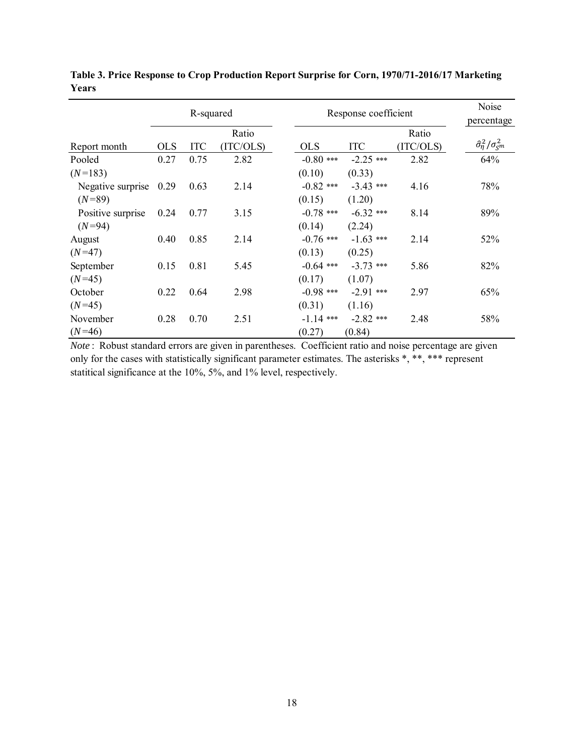|                   |            | R-squared  |           |             | Response coefficient |           |                                                |  |  |
|-------------------|------------|------------|-----------|-------------|----------------------|-----------|------------------------------------------------|--|--|
|                   |            |            | Ratio     |             |                      | Ratio     |                                                |  |  |
| Report month      | <b>OLS</b> | <b>ITC</b> | (ITC/OLS) | <b>OLS</b>  | <b>ITC</b>           | (ITC/OLS) | $\hat{\sigma}_{\eta}^2/\sigma_{\varsigma^m}^2$ |  |  |
| Pooled            | 0.27       | 0.75       | 2.82      | $-0.80$ *** | $-2.25$ ***          | 2.82      | 64%                                            |  |  |
| $(N=183)$         |            |            |           | (0.10)      | (0.33)               |           |                                                |  |  |
| Negative surprise | 0.29       | 0.63       | 2.14      | $-0.82$ *** | $-3.43$ ***          | 4.16      | 78%                                            |  |  |
| $(N=89)$          |            |            |           | (0.15)      | (1.20)               |           |                                                |  |  |
| Positive surprise | 0.24       | 0.77       | 3.15      | $-0.78$ *** | $-6.32$ ***          | 8.14      | 89%                                            |  |  |
| $(N=94)$          |            |            |           | (0.14)      | (2.24)               |           |                                                |  |  |
| August            | 0.40       | 0.85       | 2.14      | $-0.76$ *** | $-1.63$ ***          | 2.14      | 52%                                            |  |  |
| $(N=47)$          |            |            |           | (0.13)      | (0.25)               |           |                                                |  |  |
| September         | 0.15       | 0.81       | 5.45      | $-0.64$ *** | $-3.73$ ***          | 5.86      | 82%                                            |  |  |
| $(N=45)$          |            |            |           | (0.17)      | (1.07)               |           |                                                |  |  |
| October           | 0.22       | 0.64       | 2.98      | $-0.98$ *** | $-2.91$ ***          | 2.97      | 65%                                            |  |  |
| $(N=45)$          |            |            |           | (0.31)      | (1.16)               |           |                                                |  |  |
| November          | 0.28       | 0.70       | 2.51      | $-1.14$ *** | $-2.82$ ***          | 2.48      | 58%                                            |  |  |
| $(N=46)$          |            |            |           | (0.27)      | (0.84)               |           |                                                |  |  |

**Table 3. Price Response to Crop Production Report Surprise for Corn, 1970/71-2016/17 Marketing Years**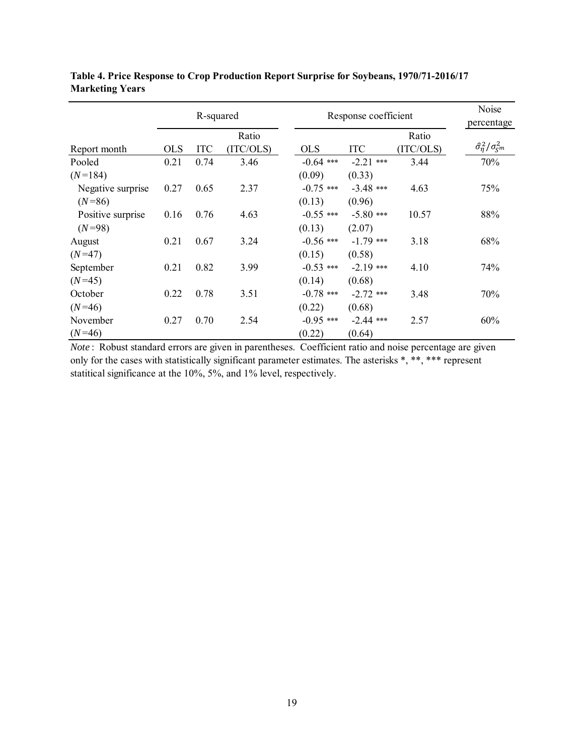|                   |            | R-squared  |           |             | Response coefficient |           |                                                |  |
|-------------------|------------|------------|-----------|-------------|----------------------|-----------|------------------------------------------------|--|
|                   |            |            | Ratio     |             |                      | Ratio     |                                                |  |
| Report month      | <b>OLS</b> | <b>ITC</b> | (ITC/OLS) | <b>OLS</b>  | <b>ITC</b>           | (ITC/OLS) | $\hat{\sigma}_{\eta}^2/\sigma_{\varsigma^m}^2$ |  |
| Pooled            | 0.21       | 0.74       | 3.46      | $-0.64$ *** | $-2.21$ ***          | 3.44      | 70%                                            |  |
| $(N=184)$         |            |            |           | (0.09)      | (0.33)               |           |                                                |  |
| Negative surprise | 0.27       | 0.65       | 2.37      | $-0.75$ *** | $-3.48$ ***          | 4.63      | 75%                                            |  |
| $(N=86)$          |            |            |           | (0.13)      | (0.96)               |           |                                                |  |
| Positive surprise | 0.16       | 0.76       | 4.63      | $-0.55$ *** | $-5.80$ ***          | 10.57     | 88%                                            |  |
| $(N=98)$          |            |            |           | (0.13)      | (2.07)               |           |                                                |  |
| August            | 0.21       | 0.67       | 3.24      | $-0.56$ *** | $-1.79$ ***          | 3.18      | 68%                                            |  |
| $(N=47)$          |            |            |           | (0.15)      | (0.58)               |           |                                                |  |
| September         | 0.21       | 0.82       | 3.99      | $-0.53$ *** | $-2.19$ ***          | 4.10      | 74%                                            |  |
| $(N=45)$          |            |            |           | (0.14)      | (0.68)               |           |                                                |  |
| October           | 0.22       | 0.78       | 3.51      | $-0.78$ *** | $-2.72$ ***          | 3.48      | 70%                                            |  |
| $(N=46)$          |            |            |           | (0.22)      | (0.68)               |           |                                                |  |
| November          | 0.27       | 0.70       | 2.54      | $-0.95$ *** | $-2.44$ ***          | 2.57      | 60%                                            |  |
| $(N=46)$          |            |            |           | (0.22)      | (0.64)               |           |                                                |  |

**Table 4. Price Response to Crop Production Report Surprise for Soybeans, 1970/71-2016/17 Marketing Years**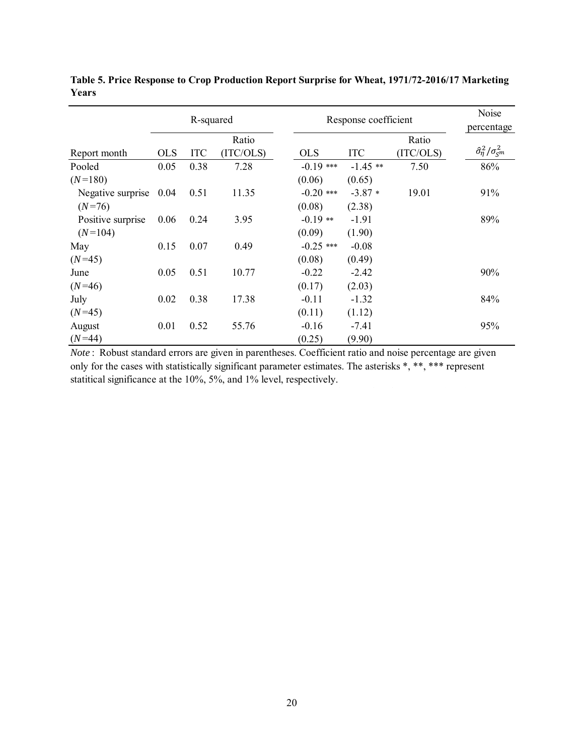|                   | R-squared  |      |           | Response coefficient | Noise<br>percentage |           |                                          |
|-------------------|------------|------|-----------|----------------------|---------------------|-----------|------------------------------------------|
|                   |            |      | Ratio     |                      |                     | Ratio     |                                          |
| Report month      | <b>OLS</b> | ITC  | (ITC/OLS) | <b>OLS</b>           | <b>ITC</b>          | (ITC/OLS) | $\hat{\sigma}_{\eta}^2/\sigma_{\rm S}^2$ |
| Pooled            | 0.05       | 0.38 | 7.28      | $-0.19$ ***          | $-1.45$ **          | 7.50      | 86%                                      |
| $(N=180)$         |            |      |           | (0.06)               | (0.65)              |           |                                          |
| Negative surprise | 0.04       | 0.51 | 11.35     | $-0.20$ ***          | $-3.87*$            | 19.01     | 91%                                      |
| $(N=76)$          |            |      |           | (0.08)               | (2.38)              |           |                                          |
| Positive surprise | 0.06       | 0.24 | 3.95      | $-0.19**$            | $-1.91$             |           | 89%                                      |
| $(N=104)$         |            |      |           | (0.09)               | (1.90)              |           |                                          |
| May               | 0.15       | 0.07 | 0.49      | $-0.25$ ***          | $-0.08$             |           |                                          |
| $(N=45)$          |            |      |           | (0.08)               | (0.49)              |           |                                          |
| June              | 0.05       | 0.51 | 10.77     | $-0.22$              | $-2.42$             |           | 90%                                      |
| $(N=46)$          |            |      |           | (0.17)               | (2.03)              |           |                                          |
| July              | 0.02       | 0.38 | 17.38     | $-0.11$              | $-1.32$             |           | 84%                                      |
| $(N=45)$          |            |      |           | (0.11)               | (1.12)              |           |                                          |
| August            | 0.01       | 0.52 | 55.76     | $-0.16$              | $-7.41$             |           | 95%                                      |
| $(N=44)$          |            |      |           | (0.25)               | (9.90)              |           |                                          |

**Table 5. Price Response to Crop Production Report Surprise for Wheat, 1971/72-2016/17 Marketing Years**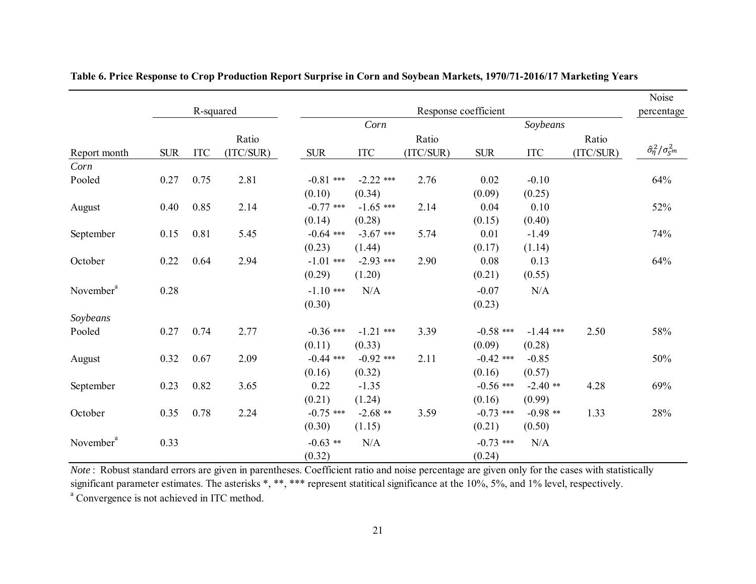|                       |            |            |           |             |                           |           |             |                           |           | Noise                                    |  |  |
|-----------------------|------------|------------|-----------|-------------|---------------------------|-----------|-------------|---------------------------|-----------|------------------------------------------|--|--|
|                       |            | R-squared  |           |             | Response coefficient      |           |             |                           |           |                                          |  |  |
|                       |            |            |           |             | Corn                      |           |             | Soybeans                  |           |                                          |  |  |
|                       |            |            | Ratio     |             |                           | Ratio     |             |                           | Ratio     |                                          |  |  |
| Report month          | <b>SUR</b> | <b>ITC</b> | (ITC/SUR) | <b>SUR</b>  | $\ensuremath{\text{ITC}}$ | (ITC/SUR) | <b>SUR</b>  | $\ensuremath{\text{ITC}}$ | (ITC/SUR) | $\hat{\sigma}_{\eta}^2/\sigma_{\rm S}^2$ |  |  |
| Corn                  |            |            |           |             |                           |           |             |                           |           |                                          |  |  |
| Pooled                | 0.27       | 0.75       | 2.81      | $-0.81$ *** | $-2.22$ ***               | 2.76      | 0.02        | $-0.10$                   |           | 64%                                      |  |  |
|                       |            |            |           | (0.10)      | (0.34)                    |           | (0.09)      | (0.25)                    |           |                                          |  |  |
| August                | 0.40       | 0.85       | 2.14      | $-0.77$ *** | $-1.65$ ***               | 2.14      | 0.04        | 0.10                      |           | 52%                                      |  |  |
|                       |            |            |           | (0.14)      | (0.28)                    |           | (0.15)      | (0.40)                    |           |                                          |  |  |
| September             | 0.15       | 0.81       | 5.45      | $-0.64$ *** | $-3.67$ ***               | 5.74      | 0.01        | $-1.49$                   |           | 74%                                      |  |  |
|                       |            |            |           | (0.23)      | (1.44)                    |           | (0.17)      | (1.14)                    |           |                                          |  |  |
| October               | 0.22       | 0.64       | 2.94      | $-1.01$ *** | $-2.93$ ***               | 2.90      | 0.08        | 0.13                      |           | 64%                                      |  |  |
|                       |            |            |           | (0.29)      | (1.20)                    |           | (0.21)      | (0.55)                    |           |                                          |  |  |
| November <sup>a</sup> | 0.28       |            |           | $-1.10$ *** | N/A                       |           | $-0.07$     | N/A                       |           |                                          |  |  |
|                       |            |            |           | (0.30)      |                           |           | (0.23)      |                           |           |                                          |  |  |
| Soybeans              |            |            |           |             |                           |           |             |                           |           |                                          |  |  |
| Pooled                | 0.27       | 0.74       | 2.77      | $-0.36$ *** | $-1.21$ ***               | 3.39      | $-0.58$ *** | $-1.44$ ***               | 2.50      | 58%                                      |  |  |
|                       |            |            |           | (0.11)      | (0.33)                    |           | (0.09)      | (0.28)                    |           |                                          |  |  |
| August                | 0.32       | 0.67       | 2.09      | $-0.44$ *** | $-0.92$ ***               | 2.11      | $-0.42$ *** | $-0.85$                   |           | 50%                                      |  |  |
|                       |            |            |           | (0.16)      | (0.32)                    |           | (0.16)      | (0.57)                    |           |                                          |  |  |
| September             | 0.23       | 0.82       | 3.65      | 0.22        | $-1.35$                   |           | $-0.56$ *** | $-2.40$ **                | 4.28      | 69%                                      |  |  |
|                       |            |            |           | (0.21)      | (1.24)                    |           | (0.16)      | (0.99)                    |           |                                          |  |  |
| October               | 0.35       | 0.78       | 2.24      | $-0.75$ *** | $-2.68$ **                | 3.59      | $-0.73$ *** | $-0.98$ **                | 1.33      | 28%                                      |  |  |
|                       |            |            |           | (0.30)      | (1.15)                    |           | (0.21)      | (0.50)                    |           |                                          |  |  |
| November <sup>a</sup> | 0.33       |            |           | $-0.63$ **  | N/A                       |           | $-0.73$ *** | N/A                       |           |                                          |  |  |
|                       |            |            |           | (0.32)      |                           |           | (0.24)      |                           |           |                                          |  |  |

**Table 6. Price Response to Crop Production Report Surprise in Corn and Soybean Markets, 1970/71-2016/17 Marketing Years**

<sup>a</sup> Convergence is not achieved in ITC method.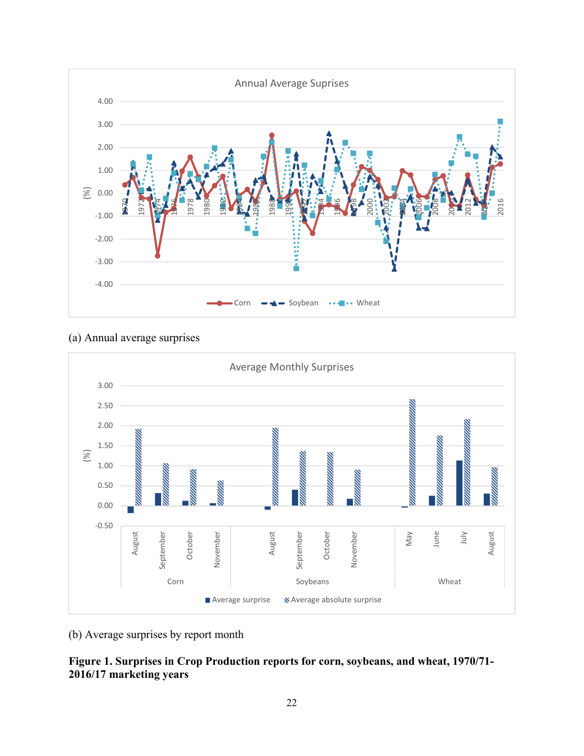

# (a) Annual average surprises



(b) Average surprises by report month

# **Figure 1. Surprises in Crop Production reports for corn, soybeans, and wheat, 1970/71- 2016/17 marketing years**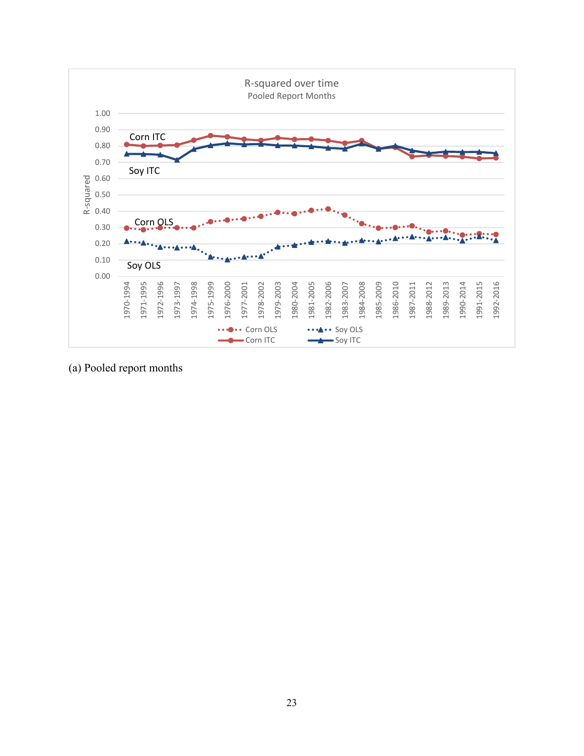

(a) Pooled report months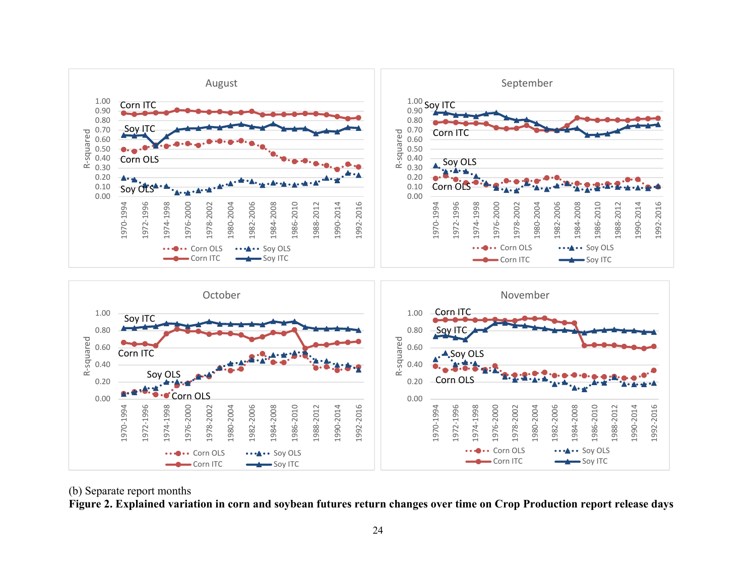

#### (b) Separate report months

**Figure 2. Explained variation in corn and soybean futures return changes over time on Crop Production report release days**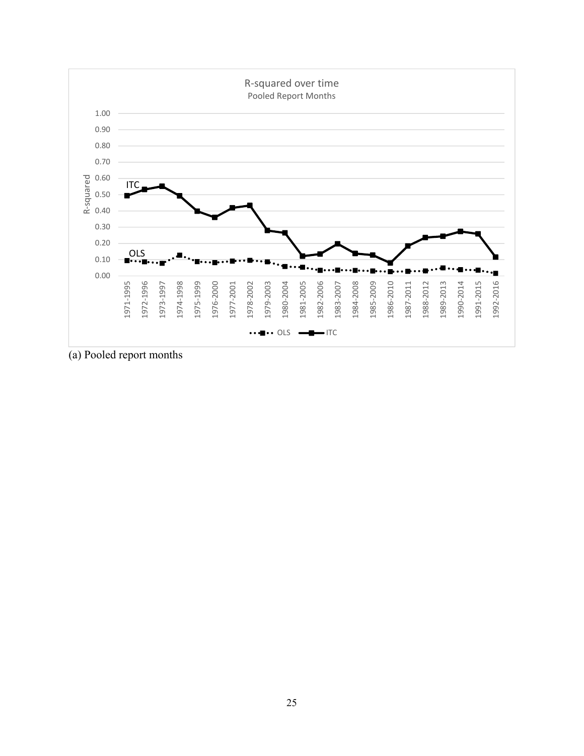

(a) Pooled report months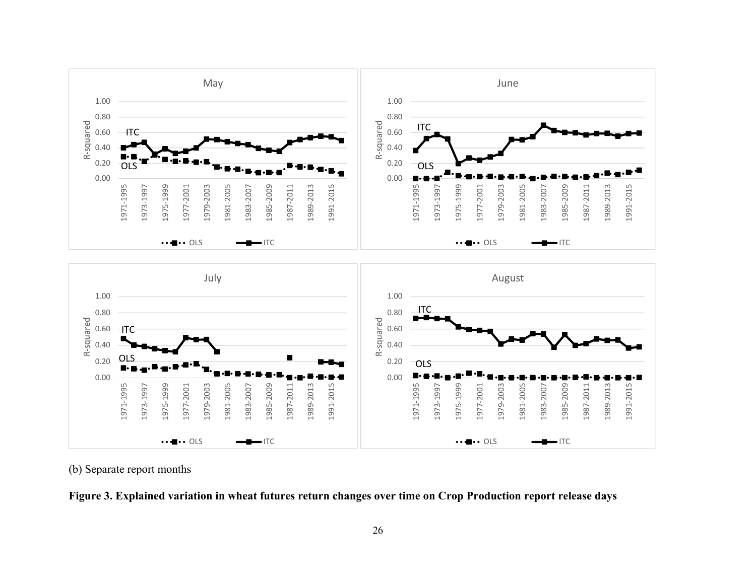



(b) Separate report months

**Figure 3. Explained variation in wheat futures return changes over time on Crop Production report release days**